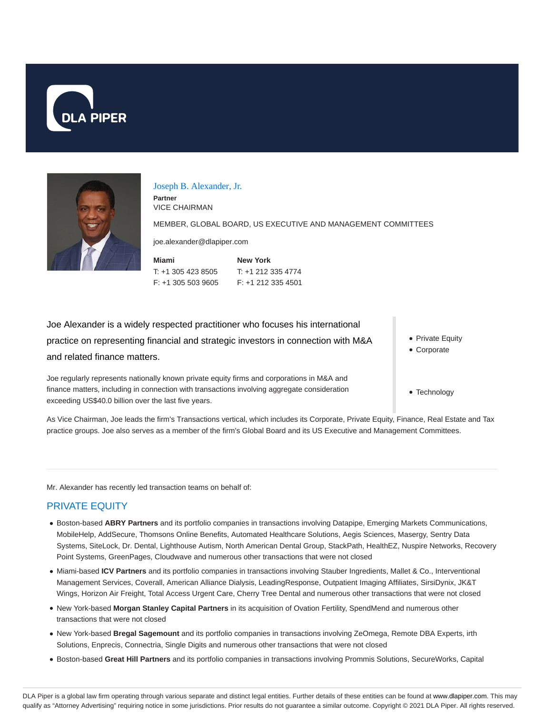



#### Joseph B. Alexander, Jr.

**Partner** VICE CHAIRMAN

MEMBER, GLOBAL BOARD, US EXECUTIVE AND MANAGEMENT COMMITTEES

joe.alexander@dlapiper.com

| Miami              | <b>New York</b>    |
|--------------------|--------------------|
| T: +1 305 423 8505 | $T: +12123354774$  |
| F: +1 305 503 9605 | F: +1 212 335 4501 |

Joe Alexander is a widely respected practitioner who focuses his international practice on representing financial and strategic investors in connection with M&A and related finance matters.

Joe regularly represents nationally known private equity firms and corporations in M&A and finance matters, including in connection with transactions involving aggregate consideration exceeding US\$40.0 billion over the last five years.

• Private Equity

- Corporate
- Technology

As Vice Chairman, Joe leads the firm's Transactions vertical, which includes its Corporate, Private Equity, Finance, Real Estate and Tax practice groups. Joe also serves as a member of the firm's Global Board and its US Executive and Management Committees.

Mr. Alexander has recently led transaction teams on behalf of:

# PRIVATE EQUITY

- **Boston-based ABRY Partners** and its portfolio companies in transactions involving Datapipe, Emerging Markets Communications, MobileHelp, AddSecure, Thomsons Online Benefits, Automated Healthcare Solutions, Aegis Sciences, Masergy, Sentry Data Systems, SiteLock, Dr. Dental, Lighthouse Autism, North American Dental Group, StackPath, HealthEZ, Nuspire Networks, Recovery Point Systems, GreenPages, Cloudwave and numerous other transactions that were not closed
- Miami-based **ICV Partners** and its portfolio companies in transactions involving Stauber Ingredients, Mallet & Co., Interventional Management Services, Coverall, American Alliance Dialysis, LeadingResponse, Outpatient Imaging Affiliates, SirsiDynix, JK&T Wings, Horizon Air Freight, Total Access Urgent Care, Cherry Tree Dental and numerous other transactions that were not closed
- New York-based **Morgan Stanley Capital Partners** in its acquisition of Ovation Fertility, SpendMend and numerous other transactions that were not closed
- New York-based **Bregal Sagemount** and its portfolio companies in transactions involving ZeOmega, Remote DBA Experts, irth Solutions, Enprecis, Connectria, Single Digits and numerous other transactions that were not closed
- Boston-based **Great Hill Partners** and its portfolio companies in transactions involving Prommis Solutions, SecureWorks, Capital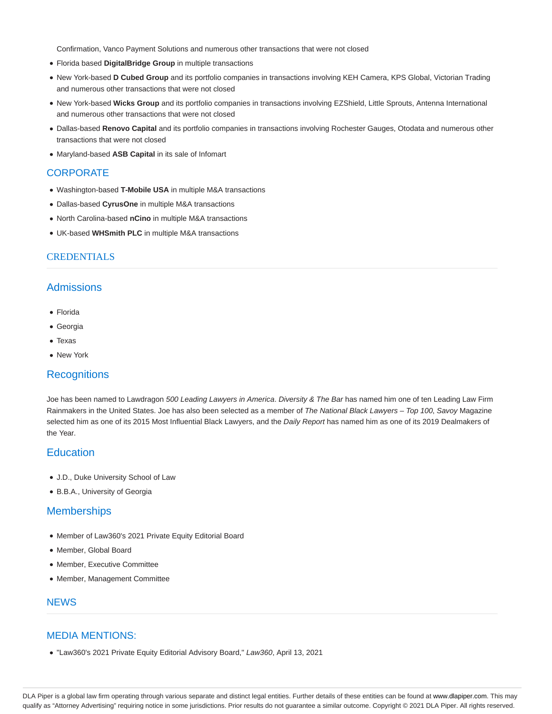Confirmation, Vanco Payment Solutions and numerous other transactions that were not closed

- Florida based **DigitalBridge Group** in multiple transactions
- New York-based **D Cubed Group** and its portfolio companies in transactions involving KEH Camera, KPS Global, Victorian Trading and numerous other transactions that were not closed
- New York-based **Wicks Group** and its portfolio companies in transactions involving EZShield, Little Sprouts, Antenna International and numerous other transactions that were not closed
- Dallas-based **Renovo Capital** and its portfolio companies in transactions involving Rochester Gauges, Otodata and numerous other transactions that were not closed
- Maryland-based **ASB Capital** in its sale of Infomart

## **CORPORATE**

- Washington-based **T-Mobile USA** in multiple M&A transactions
- Dallas-based **CyrusOne** in multiple M&A transactions
- North Carolina-based **nCino** in multiple M&A transactions
- UK-based **WHSmith PLC** in multiple M&A transactions

#### **CREDENTIALS**

# **Admissions**

- Florida
- Georgia
- Texas
- New York

### **Recognitions**

Joe has been named to Lawdragon 500 Leading Lawyers in America. Diversity & The Bar has named him one of ten Leading Law Firm Rainmakers in the United States. Joe has also been selected as a member of The National Black Lawyers - Top 100, Savoy Magazine selected him as one of its 2015 Most Influential Black Lawyers, and the Daily Report has named him as one of its 2019 Dealmakers of the Year.

# **Education**

- J.D., Duke University School of Law
- B.B.A., University of Georgia

## **Memberships**

- Member of Law360's 2021 Private Equity Editorial Board
- Member, Global Board
- Member, Executive Committee
- Member, Management Committee

#### **NEWS**

#### MEDIA MENTIONS:

"Law360's 2021 Private Equity Editorial Advisory Board," Law360, April 13, 2021

DLA Piper is a global law firm operating through various separate and distinct legal entities. Further details of these entities can be found at www.dlapiper.com. This may qualify as "Attorney Advertising" requiring notice in some jurisdictions. Prior results do not guarantee a similar outcome. Copyright © 2021 DLA Piper. All rights reserved.